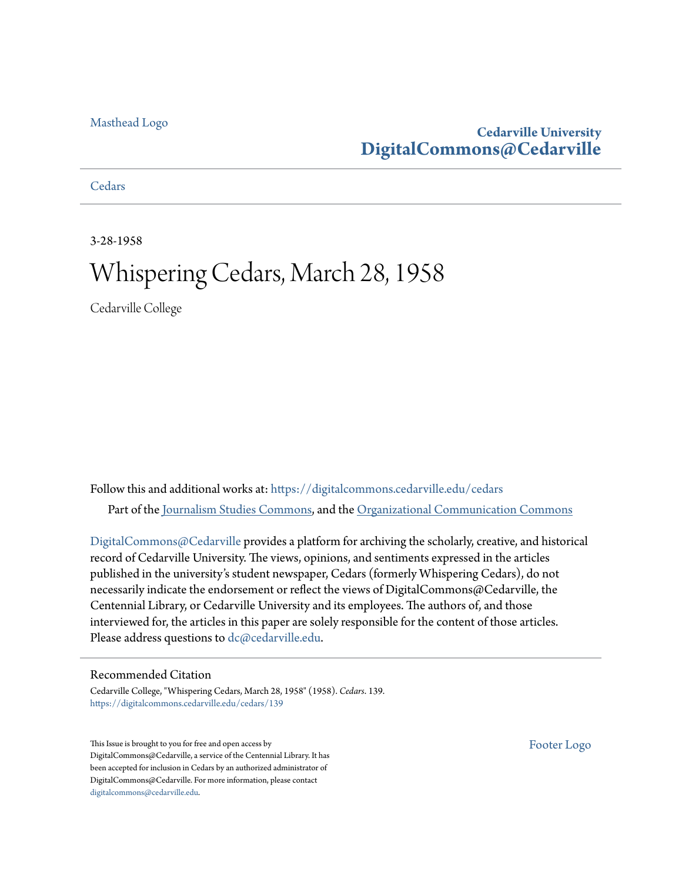#### [Masthead Logo](http://www.cedarville.edu/?utm_source=digitalcommons.cedarville.edu%2Fcedars%2F139&utm_medium=PDF&utm_campaign=PDFCoverPages)

## **Cedarville University [DigitalCommons@Cedarville](https://digitalcommons.cedarville.edu?utm_source=digitalcommons.cedarville.edu%2Fcedars%2F139&utm_medium=PDF&utm_campaign=PDFCoverPages)**

**[Cedars](https://digitalcommons.cedarville.edu/cedars?utm_source=digitalcommons.cedarville.edu%2Fcedars%2F139&utm_medium=PDF&utm_campaign=PDFCoverPages)** 

3-28-1958

# Whispering Cedars, March 28, 1958

Cedarville College

Follow this and additional works at: [https://digitalcommons.cedarville.edu/cedars](https://digitalcommons.cedarville.edu/cedars?utm_source=digitalcommons.cedarville.edu%2Fcedars%2F139&utm_medium=PDF&utm_campaign=PDFCoverPages) Part of the [Journalism Studies Commons](http://network.bepress.com/hgg/discipline/333?utm_source=digitalcommons.cedarville.edu%2Fcedars%2F139&utm_medium=PDF&utm_campaign=PDFCoverPages), and the [Organizational Communication Commons](http://network.bepress.com/hgg/discipline/335?utm_source=digitalcommons.cedarville.edu%2Fcedars%2F139&utm_medium=PDF&utm_campaign=PDFCoverPages)

[DigitalCommons@Cedarville](http://digitalcommons.cedarville.edu/) provides a platform for archiving the scholarly, creative, and historical record of Cedarville University. The views, opinions, and sentiments expressed in the articles published in the university's student newspaper, Cedars (formerly Whispering Cedars), do not necessarily indicate the endorsement or reflect the views of DigitalCommons@Cedarville, the Centennial Library, or Cedarville University and its employees. The authors of, and those interviewed for, the articles in this paper are solely responsible for the content of those articles. Please address questions to [dc@cedarville.edu.](mailto:dc@cedarville.edu)

#### Recommended Citation

Cedarville College, "Whispering Cedars, March 28, 1958" (1958). *Cedars*. 139. [https://digitalcommons.cedarville.edu/cedars/139](https://digitalcommons.cedarville.edu/cedars/139?utm_source=digitalcommons.cedarville.edu%2Fcedars%2F139&utm_medium=PDF&utm_campaign=PDFCoverPages)

This Issue is brought to you for free and open access by DigitalCommons@Cedarville, a service of the Centennial Library. It has been accepted for inclusion in Cedars by an authorized administrator of DigitalCommons@Cedarville. For more information, please contact [digitalcommons@cedarville.edu](mailto:digitalcommons@cedarville.edu).

[Footer Logo](http://www.cedarville.edu/Academics/Library.aspx?utm_source=digitalcommons.cedarville.edu%2Fcedars%2F139&utm_medium=PDF&utm_campaign=PDFCoverPages)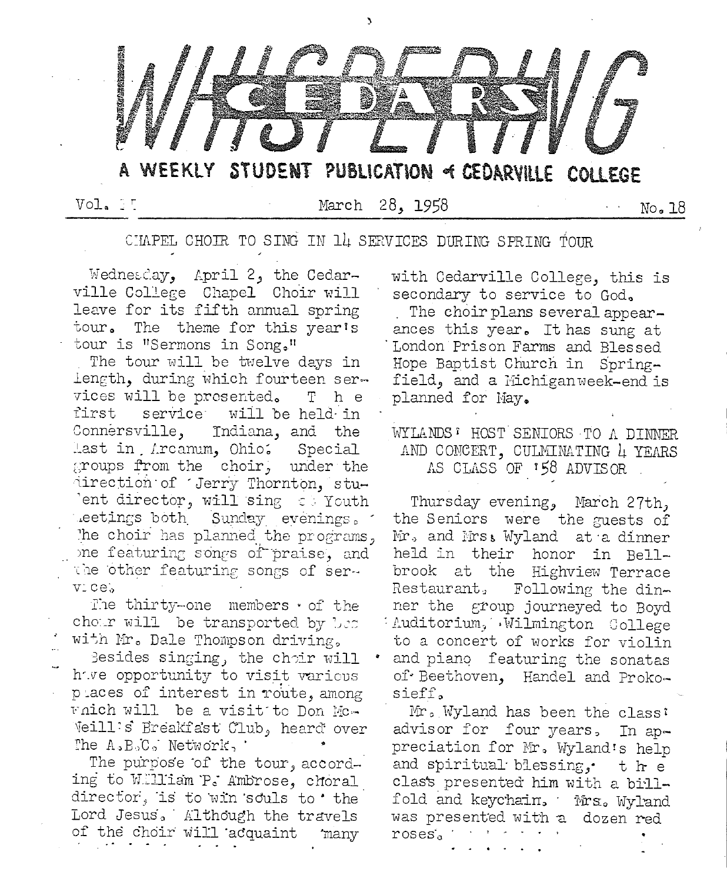

Vol. IT

March 28, 1958

No. 18

CIAPEL CHOIR TO SING IN 14 SERVICES DURING SPRING TOUR

Wednesday, April 2, the Cedarville College Chapel Choir will leave for its fifth annual spring tour. The theme for this year's tour is "Sermons in Song."

The tour will be twelve days in length, during which fourteen services will be prosented. T h e first service will be held in Connersville, Indiana, and the last in Arcanum, Ohio. Special groups from the choir, under the direction of Jerry Thornton, stuent director, will sing to Youth eetings both Sunday evenings. The choir has planned the programs. one featuring songs of praise, and the other featuring songs of servicel.

The thirty-one members of the chour will be transported by bes with Mr. Dale Thompson driving,

Besides singing, the choir will have opportunity to visit various places of interest in route, among which will be a visit to Don Mc-Veill's Breakfast Club, heard over The A.B.C. Network,

The purpose of the tour, according to William P. Ambrose, choral director, is to win souls to 'the Lord Jesus, Although the travels of the choir will acquaint many

with Cedarville College, this is secondary to service to God. The choir plans several appearances this year. It has sung at London Prison Farms and Blessed Hope Baptist Church in Springfield, and a Michigan week-end is planned for May.

### WYLANDS: HOST SENIORS TO A DINNER AND CONCERT, CULMINATING 4 YEARS AS CLASS OF 158 ADVISOR

Thursday evening, March 27th, the Seniors were the guests of Mr. and Mrs: Wyland at a dinner held in their honor in Bellbrook at the Highview Terrace Restaurant, Following the dinner the group journeyed to Boyd : Auditorium, Wilmington College to a concert of works for violin and piano featuring the sonatas of Beethoven, Handel and Prokosieff.

Mr. Wyland has been the class: advisor for four years, In  $a_{p}$ preciation for Mr. Wyland's help and spiritual blessing, the clas's presented him with a billfold and keychain. Mrs. Wyland was presented with a dozen red roses.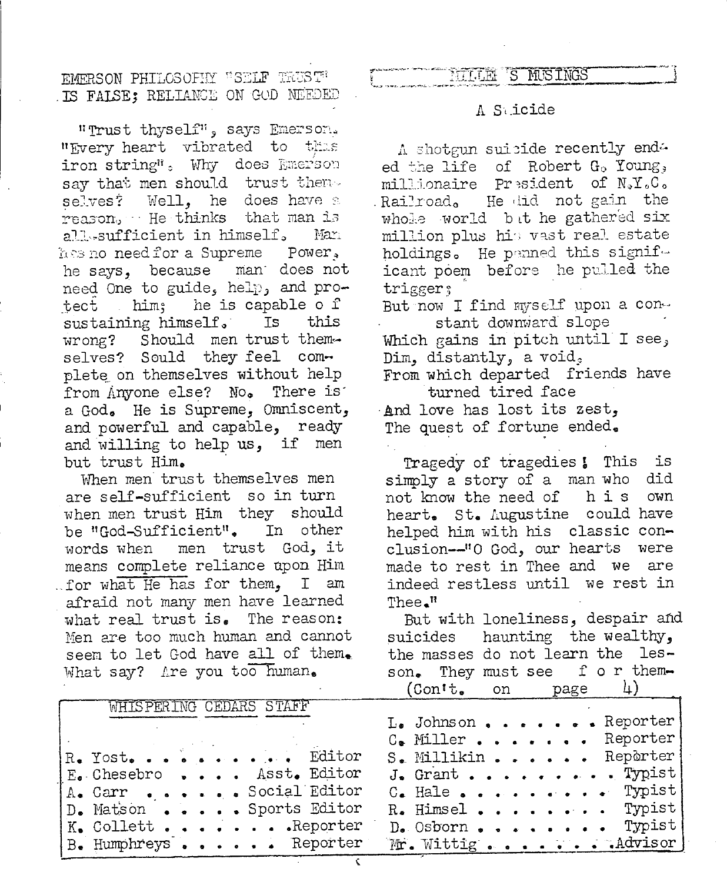EMPRSON PHILOSOFHY "SELF TRUST" . IS FALSE; RELIANCE ON GOD NEEDED

"Trust thyself", says Emerson. "Every heart vibrated to thes iron string": Why does Emerson say that men should trust theme Well, he does have a selves? | reason, He thinks that man is all sufficient in himself. Man has no need for a Supreme Power. he says, because man does not need One to guide, help, and prohim; he is capable of tect sustaining himself. Ts this wrong? Should men trust themselves? Sould they feel complete on themselves without help from Anyone else? No. There is a God. He is Supreme, Omniscent, and powerful and capable, ready and willing to help us, if men but trust Him.

When men trust themselves men are self-sufficient so in turn when men trust Him they should be "God-Sufficient". In other men trust God, it words when means complete reliance upon Him for what He has for them, I am afraid not many men have learned what real trust is. The reason: Men are too much human and cannot seem to let God have all of them. What say? Are you too human.

#### 'S MUSINGS **TELLEL**

#### A Suicide

A shotgun suicide recently enda ed the life of Robert G. Young, millionaire President of NeY.C. Railroad, He did not gain the whole world but he gathered six million plus his vast real estate holdings. He penned this significant poem before he pulled the trigger; But now I find myself upon a constant downward slope Which gains in pitch until I see, Dim, distantly, a void, From which departed friends have turned tired face And love has lost its zest, The quest of fortune ended.

Tragedy of tragedies ! This is simply a story of a man who did not know the need of his own heart. St. Augustine could have helped him with his classic conclusion--"O God, our hearts were made to rest in Thee and We are indeed restless until we rest in  $\text{The} \cdot^{\text{R}}$ 

But with loneliness, despair and haunting the wealthy, suicides the masses do not learn the lesson. They must see f or them- $\mathcal{V}(\mathcal{V})$  $(Cont.$  $n$  $\cap$ 

|                                | $\sqrt{2}$                     |
|--------------------------------|--------------------------------|
| WHISPERING CEDARS STAFF        |                                |
|                                | $L_{\bullet}$ Johnson Reporter |
|                                | $C_{\bullet}$ Miller Reporter  |
| R. Yost. Editor                | S. Millikin Reporter           |
| E. Chesebro Asst. Editor       | $J_{\bullet}$ Grant Typist     |
| A. Carr Social Editor          |                                |
| D. Matson Sports Editor        | R. Himsel Typist               |
| $K_{\bullet}$ Collett Reporter |                                |
| B. Humphreys Reporter          | Mr. Wittig Advisor             |

Ç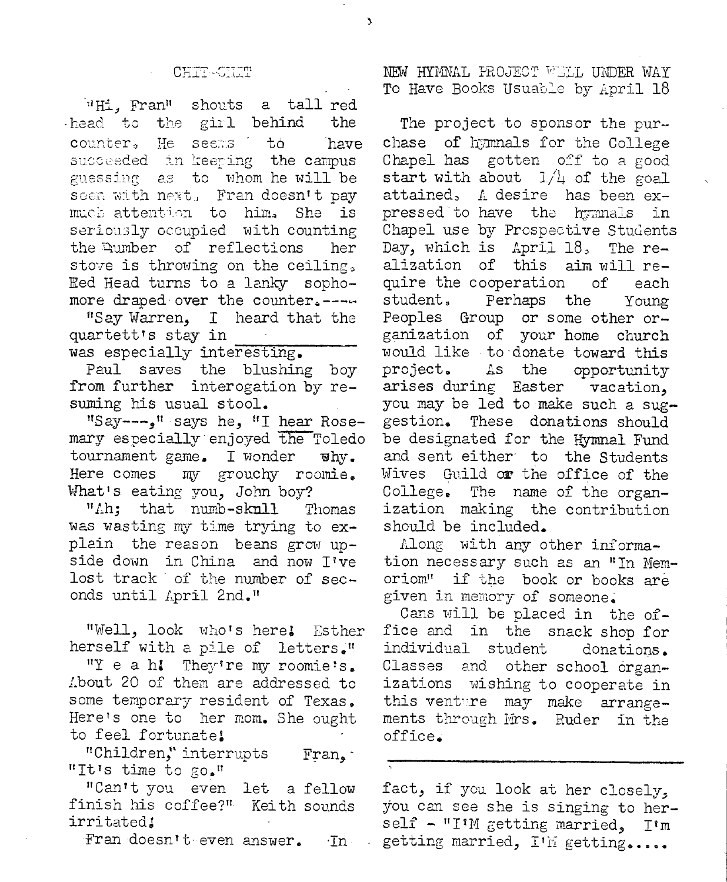#### CHIT-CHIT

 $\mathbf{A}$ 

"Hi, Fran" shouts a tall red head to the girl behind the counter, Не seems to have succeeded in keeping the campus guessing as to whom he will be seen with next, Fran doesn't pay much attention to him. She is seriously occupied with counting the Aumber of reflections her stove is throwing on the ceiling. Red Head turns to a lanky sophomore draped over the counter.----

"Say Warren, I heard that the quartett's stay in was especially interesting.

Paul saves the blushing boy from further interogation by resuming his usual stool.

"Say ---- " says he, "I hear Rosemary especially enjoyed the Toledo tournament game. I wonder  $\mathbf{v}$  by . Here comes my grouchy roomie. What's eating you, John boy?

"Ah; that numb-sknll Thomas was wasting my time trying to explain the reason beans grow upside down in China and now T've lost track of the number of seconds until April 2nd."

"Well, look who's here! Esther herself with a pile of letters." "Yeah! They're my roomie's. About 20 of them are addressed to some temporary resident of Texas.

Here's one to her mom. She ought to feel fortunate! "Children," interrupts Fran. "It's time to go."

"Can't you even let a fellow finish his coffee?" Keith sounds irritated!

Fran doesn't even answer. ·In

NEW HYMNAL PROJECT WELL UNDER WAY To Have Books Usuable by April 18

The project to sponsor the purchase of hymnals for the College Chapel has gotten off to a good start with about  $1/\mu$  of the goal attained, A desire has been expressed to have the hymnals in Chapel use by Prospective Students Day, which is April 18, The realization of this aim will require the cooperation οf each student. Perhaps the Young Peoples Group or some other organization of your home church would like to donate toward this project. As the opportunity arises during Easter vacation. you may be led to make such a suggestion. These donations should be designated for the Hymnal Fund and sent either to the Students Wives Guild or the office of the College. The name of the organization making the contribution should be included.

Along with any other information necessary such as an "In Memoriom" if the book or books are given in memory of someone.

Cans will be placed in the office and in the snack shop for individual student donations. Classes other school organand. izations wishing to cooperate in this venture may make arrangements through Mrs. Ruder in the office.

fact, if you look at her closely, you can see she is singing to herself - "I'M getting married, I'm getting married, I'M getting.....